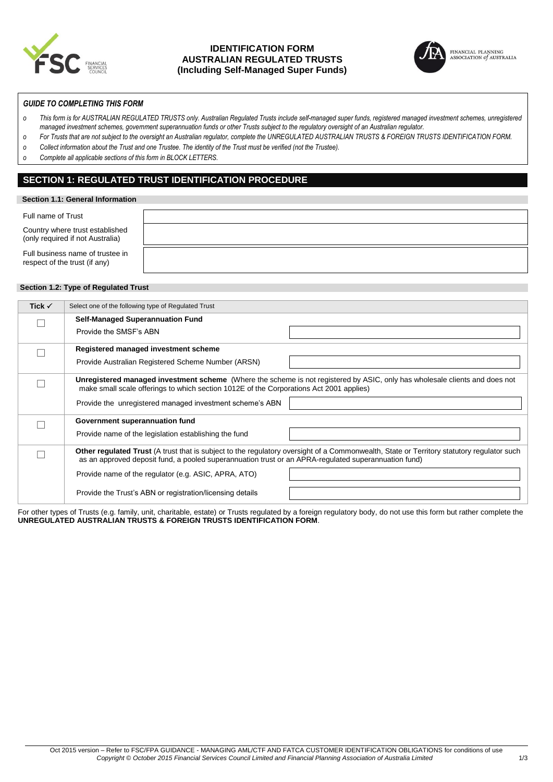

### **IDENTIFICATION FORM AUSTRALIAN REGULATED TRUSTS (Including Self-Managed Super Funds)**



### *GUIDE TO COMPLETING THIS FORM*

- *o This form is for AUSTRALIAN REGULATED TRUSTS only. Australian Regulated Trusts include self-managed super funds, registered managed investment schemes, unregistered managed investment schemes, government superannuation funds or other Trusts subject to the regulatory oversight of an Australian regulator.*
- *o For Trusts that are not subject to the oversight an Australian regulator, complete the UNREGULATED AUSTRALIAN TRUSTS & FOREIGN TRUSTS IDENTIFICATION FORM.*
- *o Collect information about the Trust and one Trustee. The identity of the Trust must be verified (not the Trustee).*
- *o Complete all applicable sections of this form in BLOCK LETTERS.*

### **SECTION 1: REGULATED TRUST IDENTIFICATION PROCEDURE**

### **Section 1.1: General Information**

| Full name of Trust                                                  |  |
|---------------------------------------------------------------------|--|
| Country where trust established<br>(only required if not Australia) |  |
| Full business name of trustee in<br>respect of the trust (if any)   |  |

### **Section 1.2: Type of Regulated Trust**

| Tick $\checkmark$ | Select one of the following type of Regulated Trust                                                                                                                                                                                               |
|-------------------|---------------------------------------------------------------------------------------------------------------------------------------------------------------------------------------------------------------------------------------------------|
|                   | <b>Self-Managed Superannuation Fund</b>                                                                                                                                                                                                           |
|                   | Provide the SMSF's ABN                                                                                                                                                                                                                            |
|                   | Registered managed investment scheme                                                                                                                                                                                                              |
|                   | Provide Australian Registered Scheme Number (ARSN)                                                                                                                                                                                                |
|                   | Unregistered managed investment scheme (Where the scheme is not registered by ASIC, only has wholesale clients and does not<br>make small scale offerings to which section 1012E of the Corporations Act 2001 applies)                            |
|                   | Provide the unregistered managed investment scheme's ABN                                                                                                                                                                                          |
|                   | Government superannuation fund                                                                                                                                                                                                                    |
|                   | Provide name of the legislation establishing the fund                                                                                                                                                                                             |
|                   | Other regulated Trust (A trust that is subject to the regulatory oversight of a Commonwealth, State or Territory statutory regulator such<br>as an approved deposit fund, a pooled superannuation trust or an APRA-regulated superannuation fund) |
|                   | Provide name of the regulator (e.g. ASIC, APRA, ATO)                                                                                                                                                                                              |
|                   | Provide the Trust's ABN or registration/licensing details                                                                                                                                                                                         |

For other types of Trusts (e.g. family, unit, charitable, estate) or Trusts regulated by a foreign regulatory body, do not use this form but rather complete the **UNREGULATED AUSTRALIAN TRUSTS & FOREIGN TRUSTS IDENTIFICATION FORM**.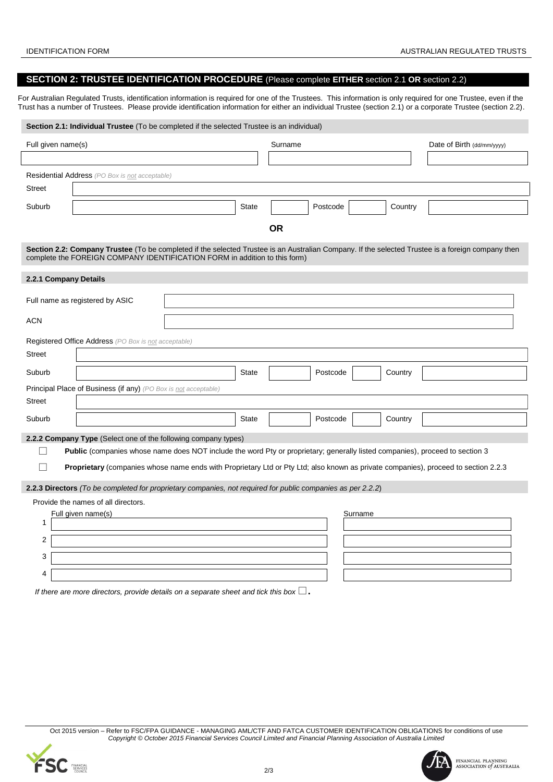### **SECTION 2: TRUSTEE IDENTIFICATION PROCEDURE** (Please complete **EITHER** section 2.1 **OR** section 2.2)

For Australian Regulated Trusts, identification information is required for one of the Trustees. This information is only required for one Trustee, even if the Trust has a number of Trustees. Please provide identification information for either an individual Trustee (section 2.1) or a corporate Trustee (section 2.2).

| Section 2.1: Individual Trustee (To be completed if the selected Trustee is an individual)                                                                                                                                      |              |           |          |         |                            |  |
|---------------------------------------------------------------------------------------------------------------------------------------------------------------------------------------------------------------------------------|--------------|-----------|----------|---------|----------------------------|--|
| Full given name(s)                                                                                                                                                                                                              |              | Surname   |          |         | Date of Birth (dd/mm/yyyy) |  |
|                                                                                                                                                                                                                                 |              |           |          |         |                            |  |
| <b>Residential Address</b> (PO Box is not acceptable)                                                                                                                                                                           |              |           |          |         |                            |  |
| <b>Street</b>                                                                                                                                                                                                                   |              |           |          |         |                            |  |
| Suburb                                                                                                                                                                                                                          | <b>State</b> |           | Postcode | Country |                            |  |
|                                                                                                                                                                                                                                 |              | <b>OR</b> |          |         |                            |  |
| Section 2.2: Company Trustee (To be completed if the selected Trustee is an Australian Company. If the selected Trustee is a foreign company then<br>complete the FOREIGN COMPANY IDENTIFICATION FORM in addition to this form) |              |           |          |         |                            |  |
| 2.2.1 Company Details                                                                                                                                                                                                           |              |           |          |         |                            |  |
| Full name as registered by ASIC                                                                                                                                                                                                 |              |           |          |         |                            |  |
| <b>ACN</b>                                                                                                                                                                                                                      |              |           |          |         |                            |  |
| Registered Office Address (PO Box is not acceptable)                                                                                                                                                                            |              |           |          |         |                            |  |
| <b>Street</b>                                                                                                                                                                                                                   |              |           |          |         |                            |  |
| Suburb                                                                                                                                                                                                                          | <b>State</b> |           | Postcode | Country |                            |  |
| Principal Place of Business (if any) (PO Box is not acceptable)                                                                                                                                                                 |              |           |          |         |                            |  |
| <b>Street</b>                                                                                                                                                                                                                   |              |           |          |         |                            |  |
| Suburb                                                                                                                                                                                                                          | <b>State</b> |           | Postcode | Country |                            |  |
| 2.2.2 Company Type (Select one of the following company types)                                                                                                                                                                  |              |           |          |         |                            |  |
| Public (companies whose name does NOT include the word Pty or proprietary; generally listed companies), proceed to section 3                                                                                                    |              |           |          |         |                            |  |
| <b>Proprietary</b> (companies whose name ends with Proprietary Ltd or Pty Ltd; also known as private companies), proceed to section 2.2.3                                                                                       |              |           |          |         |                            |  |
| 2.2.3 Directors (To be completed for proprietary companies, not required for public companies as per 2.2.2)                                                                                                                     |              |           |          |         |                            |  |
| Provide the names of all directors.                                                                                                                                                                                             |              |           |          |         |                            |  |
| Full given name(s)                                                                                                                                                                                                              |              |           | Surname  |         |                            |  |
| 1                                                                                                                                                                                                                               |              |           |          |         |                            |  |
| $\overline{c}$                                                                                                                                                                                                                  |              |           |          |         |                            |  |
| 3                                                                                                                                                                                                                               |              |           |          |         |                            |  |
| 4                                                                                                                                                                                                                               |              |           |          |         |                            |  |

*If there are more directors, provide details on a separate sheet and tick this box*  $\square$ .

Oct 2015 version – Refer to FSC/FPA GUIDANCE - MANAGING AML/CTF AND FATCA CUSTOMER IDENTIFICATION OBLIGATIONS for conditions of use *Copyright © October 2015 Financial Services Council Limited and Financial Planning Association of Australia Limited*